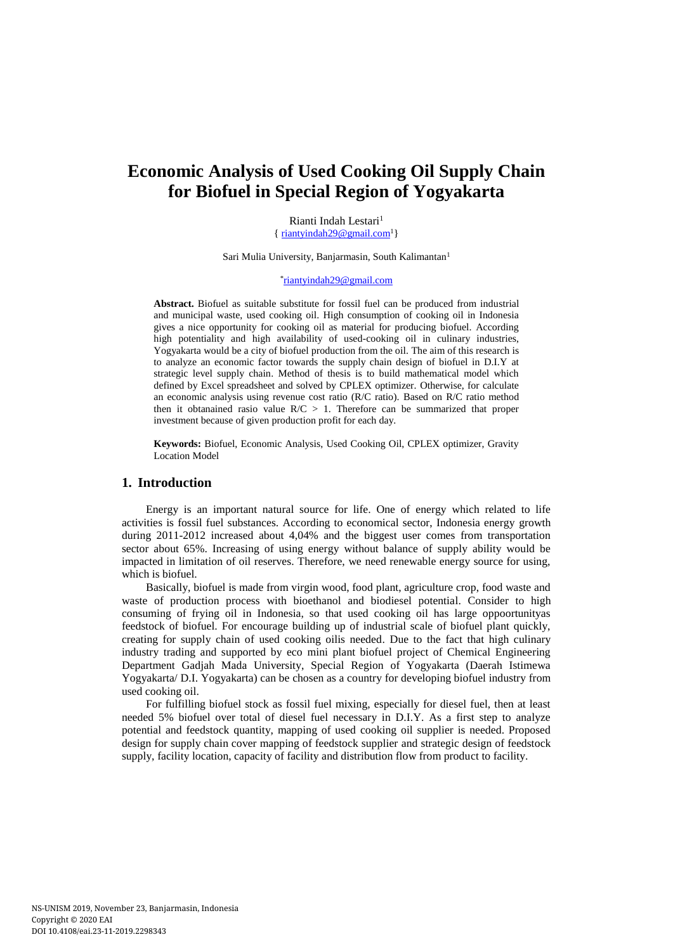# **Economic Analysis of Used Cooking Oil Supply Chain for Biofuel in Special Region of Yogyakarta**

Rianti Indah Lestari<sup>1</sup>  $\{$  [riantyindah29@gmail.com](mailto:riantyindah29@gmail.com)<sup>1</sup>}

Sari Mulia University, Banjarmasin, South Kalimantan<sup>1</sup>

### \* [riantyindah29@gmail.com](mailto:riantyindah29@gmail.com)

**Abstract.** Biofuel as suitable substitute for fossil fuel can be produced from industrial and municipal waste, used cooking oil. High consumption of cooking oil in Indonesia gives a nice opportunity for cooking oil as material for producing biofuel. According high potentiality and high availability of used-cooking oil in culinary industries, Yogyakarta would be a city of biofuel production from the oil. The aim of this research is to analyze an economic factor towards the supply chain design of biofuel in D.I.Y at strategic level supply chain. Method of thesis is to build mathematical model which defined by Excel spreadsheet and solved by CPLEX optimizer. Otherwise, for calculate an economic analysis using revenue cost ratio (R/C ratio). Based on R/C ratio method then it obtanained rasio value  $R/C > 1$ . Therefore can be summarized that proper investment because of given production profit for each day.

**Keywords:** Biofuel, Economic Analysis, Used Cooking Oil, CPLEX optimizer, Gravity Location Model

## **1. Introduction**

Energy is an important natural source for life. One of energy which related to life activities is fossil fuel substances. According to economical sector, Indonesia energy growth during 2011-2012 increased about 4,04% and the biggest user comes from transportation sector about 65%. Increasing of using energy without balance of supply ability would be impacted in limitation of oil reserves. Therefore, we need renewable energy source for using, which is biofuel.

Basically, biofuel is made from virgin wood, food plant, agriculture crop, food waste and waste of production process with bioethanol and biodiesel potential. Consider to high consuming of frying oil in Indonesia, so that used cooking oil has large oppoortunityas feedstock of biofuel. For encourage building up of industrial scale of biofuel plant quickly, creating for supply chain of used cooking oilis needed. Due to the fact that high culinary industry trading and supported by eco mini plant biofuel project of Chemical Engineering Department Gadjah Mada University, Special Region of Yogyakarta (Daerah Istimewa Yogyakarta/ D.I. Yogyakarta) can be chosen as a country for developing biofuel industry from used cooking oil.

For fulfilling biofuel stock as fossil fuel mixing, especially for diesel fuel, then at least needed 5% biofuel over total of diesel fuel necessary in D.I.Y. As a first step to analyze potential and feedstock quantity, mapping of used cooking oil supplier is needed. Proposed design for supply chain cover mapping of feedstock supplier and strategic design of feedstock supply, facility location, capacity of facility and distribution flow from product to facility.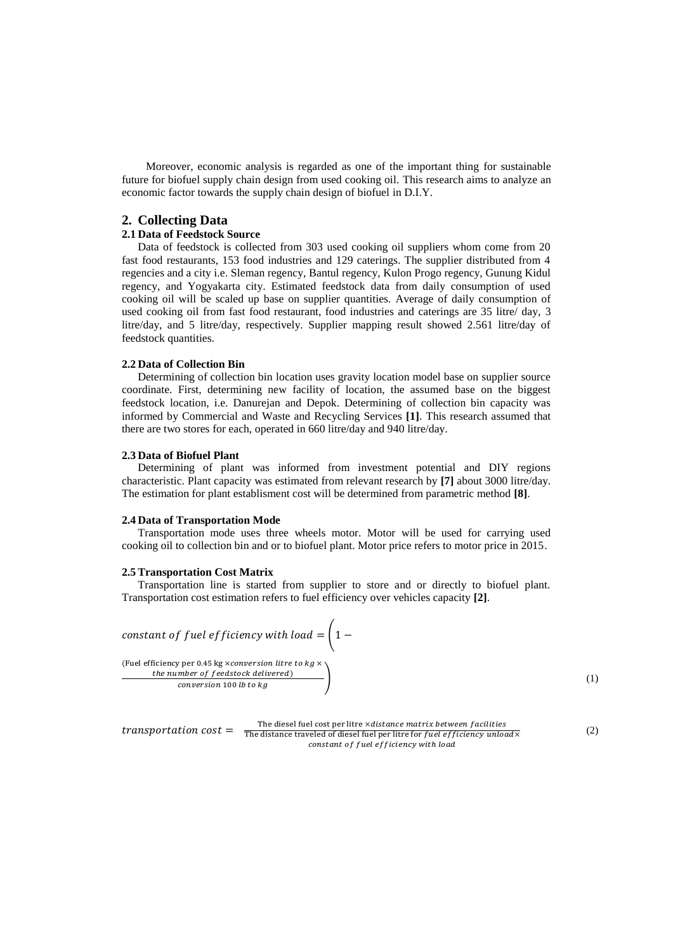Moreover, economic analysis is regarded as one of the important thing for sustainable future for biofuel supply chain design from used cooking oil. This research aims to analyze an economic factor towards the supply chain design of biofuel in D.I.Y.

## **2. Collecting Data**

### **2.1 Data of Feedstock Source**

Data of feedstock is collected from 303 used cooking oil suppliers whom come from 20 fast food restaurants, 153 food industries and 129 caterings. The supplier distributed from 4 regencies and a city i.e. Sleman regency, Bantul regency, Kulon Progo regency, Gunung Kidul regency, and Yogyakarta city. Estimated feedstock data from daily consumption of used cooking oil will be scaled up base on supplier quantities. Average of daily consumption of used cooking oil from fast food restaurant, food industries and caterings are 35 litre/ day, 3 litre/day, and 5 litre/day, respectively. Supplier mapping result showed 2.561 litre/day of feedstock quantities.

## **2.2 Data of Collection Bin**

Determining of collection bin location uses gravity location model base on supplier source coordinate. First, determining new facility of location, the assumed base on the biggest feedstock location, i.e. Danurejan and Depok. Determining of collection bin capacity was informed by Commercial and Waste and Recycling Services **[1]**. This research assumed that there are two stores for each, operated in 660 litre/day and 940 litre/day.

### **2.3 Data of Biofuel Plant**

Determining of plant was informed from investment potential and DIY regions characteristic. Plant capacity was estimated from relevant research by **[7]** about 3000 litre/day. The estimation for plant establisment cost will be determined from parametric method **[8]**.

### **2.4 Data of Transportation Mode**

Transportation mode uses three wheels motor. Motor will be used for carrying used cooking oil to collection bin and or to biofuel plant. Motor price refers to motor price in 2015.

### **2.5Transportation Cost Matrix**

Transportation line is started from supplier to store and or directly to biofuel plant. Transportation cost estimation refers to fuel efficiency over vehicles capacity **[2]**.



 $transportion\ cost = \frac{1}{The\ distance\ traveled\ of\ diesel\ fuel\ per\ litre\ or\ fuel\ er\ life\ of\ ice\ her\ for\ 1\ etc\ for\ 1\ etc.}$ The diesel fuel cost per litre xdistance matrix between facilities constant of fuel efficiency with load

(2)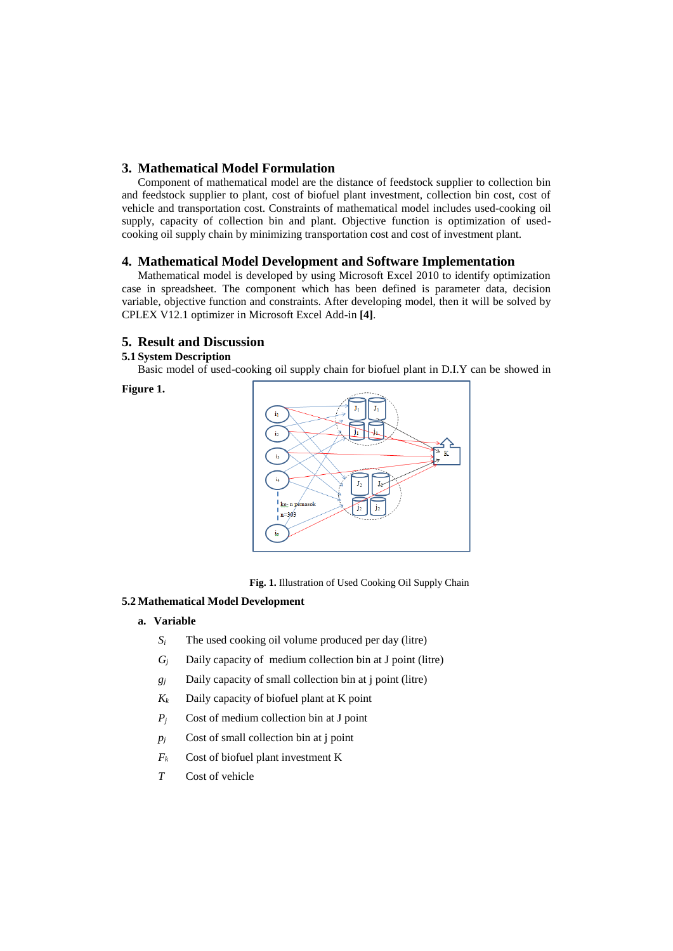## **3. Mathematical Model Formulation**

Component of mathematical model are the distance of feedstock supplier to collection bin and feedstock supplier to plant, cost of biofuel plant investment, collection bin cost, cost of vehicle and transportation cost. Constraints of mathematical model includes used-cooking oil supply, capacity of collection bin and plant. Objective function is optimization of usedcooking oil supply chain by minimizing transportation cost and cost of investment plant.

## **4. Mathematical Model Development and Software Implementation**

Mathematical model is developed by using Microsoft Excel 2010 to identify optimization case in spreadsheet. The component which has been defined is parameter data, decision variable, objective function and constraints. After developing model, then it will be solved by CPLEX V12.1 optimizer in Microsoft Excel Add-in **[4]**.

## **5. Result and Discussion**

## **5.1 System Description**

Basic model of used-cooking oil supply chain for biofuel plant in D.I.Y can be showed in

**Figure 1.**



 **Fig. 1.** Illustration of Used Cooking Oil Supply Chain

## **5.2 Mathematical Model Development**

- **a. Variable**
	- *S<sup>i</sup>* The used cooking oil volume produced per day (litre)
	- $G_i$  Daily capacity of medium collection bin at J point (litre)
	- *g<sup>j</sup>* Daily capacity of small collection bin at j point (litre)
	- $K_k$  Daily capacity of biofuel plant at K point
	- *P<sup>j</sup>* Cost of medium collection bin at J point
	- $p_i$  Cost of small collection bin at j point
	- *F<sup>k</sup>* Cost of biofuel plant investment K
	- *T* Cost of vehicle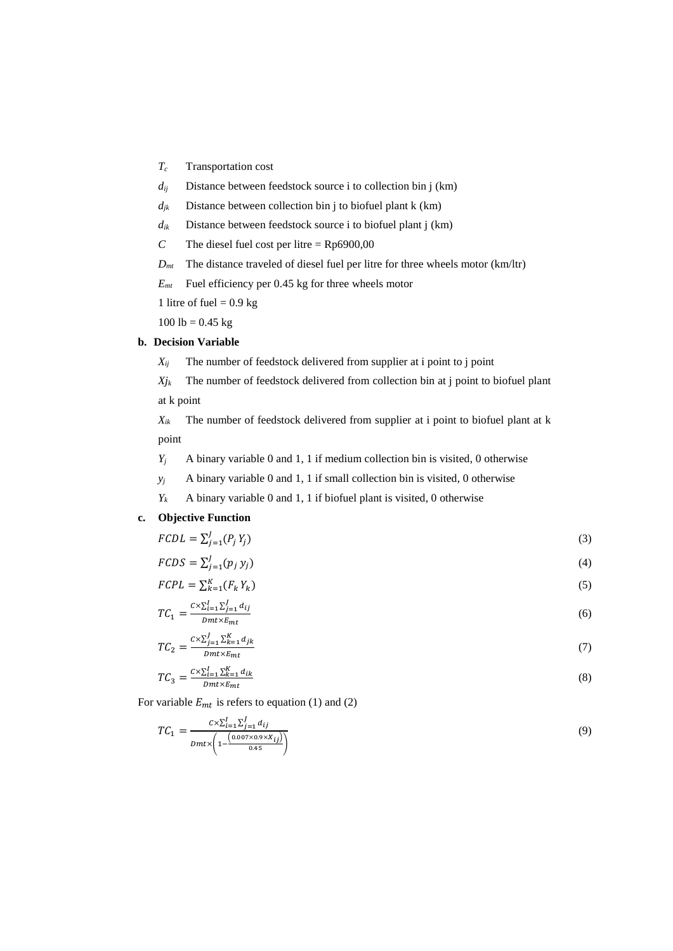- *T<sup>c</sup>* Transportation cost
- $d_{ij}$  Distance between feedstock source i to collection bin j (km)
- $d_{ik}$  Distance between collection bin j to biofuel plant k (km)
- $d_{ik}$  Distance between feedstock source i to biofuel plant j (km)
- *C* The diesel fuel cost per litre =  $Rp6900,00$
- *Dmt* The distance traveled of diesel fuel per litre for three wheels motor (km/ltr)

*Emt* Fuel efficiency per 0.45 kg for three wheels motor

1 litre of fuel  $= 0.9$  kg

 $100$  lb = 0.45 kg

## **b. Decision Variable**

 $X_{ii}$  The number of feedstock delivered from supplier at i point to j point

 $X_{jk}$  The number of feedstock delivered from collection bin at j point to biofuel plant at k point

*Xik* The number of feedstock delivered from supplier at i point to biofuel plant at k point

- *Y<sup>j</sup>* A binary variable 0 and 1, 1 if medium collection bin is visited, 0 otherwise
- $y_j$  A binary variable 0 and 1, 1 if small collection bin is visited, 0 otherwise

 $Y_k$  A binary variable 0 and 1, 1 if biofuel plant is visited, 0 otherwise

## **c. Objective Function**

 $FCDL = \sum_{j=1}^{J} (P_j Y_j)$  (3)

$$
FCDS = \sum_{j=1}^{J} (p_j y_j) \tag{4}
$$

$$
FCPL = \sum_{k=1}^{K} (F_k Y_k)
$$
\n<sup>(5)</sup>

$$
TC_1 = \frac{c \times \sum_{i=1}^{I} \sum_{j=1}^{J} d_{ij}}{Dmt \times E_{mt}} \tag{6}
$$

$$
TC_2 = \frac{c \times \sum_{j=1}^{J} \sum_{k=1}^{K} d_{jk}}{Dmt \times E_{mt}}
$$
(7)

$$
TC_3 = \frac{c \times \sum_{i=1}^{I} \sum_{k=1}^{K} d_{ik}}{Dmt \times E_{mt}}
$$
(8)

For variable  $E_{mt}$  is refers to equation (1) and (2)

$$
TC_1 = \frac{c \times \sum_{i=1}^{I} \sum_{j=1}^{J} d_{ij}}{Dmt \times \left(1 - \frac{(0.007 \times 0.9 \times X_{ij})}{0.45}\right)}
$$
(9)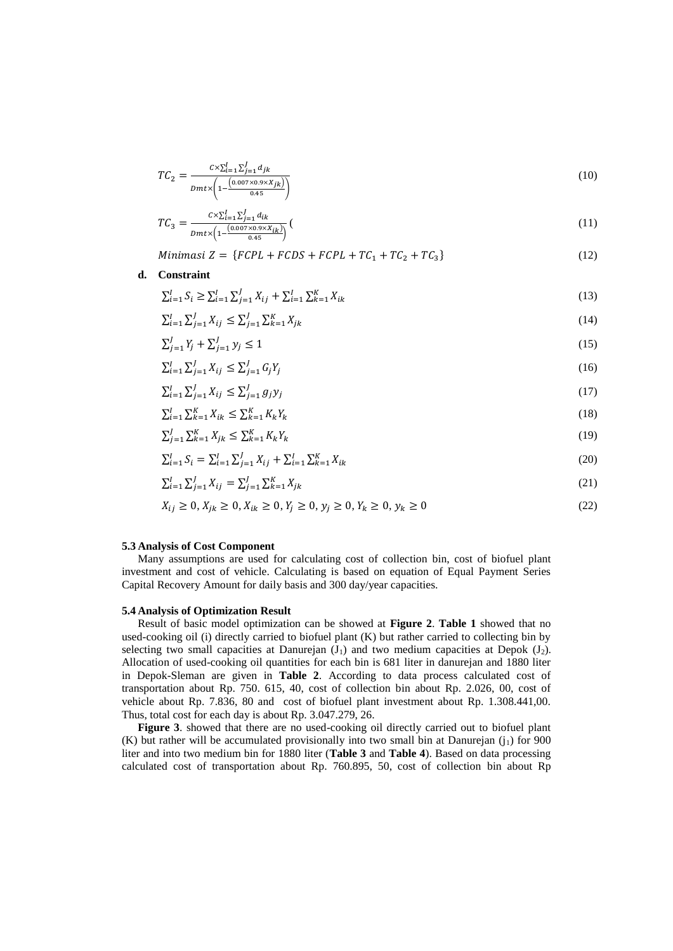$$
TC_2 = \frac{c \times \sum_{i=1}^{I} \sum_{j=1}^{J} d_{jk}}{Dmt \times \left(1 - \frac{(0.007 \times 0.9 \times X_{jk})}{0.45}\right)}
$$
(10)

$$
TC_3 = \frac{c \times \sum_{i=1}^{I} \sum_{j=1}^{J} d_{ik}}{Dmt \times \left(1 - \frac{(0.007 \times 0.9 \times X_{ik})}{0.45}\right)}\tag{11}
$$

$$
Minimasi Z = \{FCPL + FCDS + FCPL + TC_1 + TC_2 + TC_3\} \tag{12}
$$

### **d. Constraint**

$$
\sum_{i=1}^{I} S_i \ge \sum_{i=1}^{I} \sum_{j=1}^{J} X_{ij} + \sum_{i=1}^{I} \sum_{k=1}^{K} X_{ik}
$$
\n(13)

$$
\sum_{i=1}^{I} \sum_{j=1}^{J} X_{ij} \le \sum_{j=1}^{J} \sum_{k=1}^{K} X_{jk}
$$
\n(14)

$$
\sum_{j=1}^{J} Y_j + \sum_{j=1}^{J} y_j \le 1 \tag{15}
$$

$$
\sum_{i=1}^{I} \sum_{j=1}^{J} X_{ij} \le \sum_{j=1}^{J} G_j Y_j \tag{16}
$$

$$
\sum_{i=1}^{I} \sum_{j=1}^{J} X_{ij} \le \sum_{j=1}^{I} g_j y_j \tag{17}
$$

$$
\sum_{i=1}^{I} \sum_{k=1}^{K} X_{ik} \le \sum_{k=1}^{K} K_k Y_k
$$
\n(18)

$$
\sum_{j=1}^{J} \sum_{k=1}^{K} X_{jk} \le \sum_{k=1}^{K} K_k Y_k \tag{19}
$$

$$
\sum_{i=1}^{I} S_i = \sum_{i=1}^{I} \sum_{j=1}^{J} X_{ij} + \sum_{i=1}^{I} \sum_{k=1}^{K} X_{ik}
$$
\n(20)

$$
\sum_{i=1}^{I} \sum_{j=1}^{J} X_{ij} = \sum_{j=1}^{J} \sum_{k=1}^{K} X_{jk}
$$
\n(21)

$$
X_{ij} \ge 0, X_{jk} \ge 0, X_{ik} \ge 0, Y_j \ge 0, y_j \ge 0, Y_k \ge 0, y_k \ge 0
$$
\n
$$
(22)
$$

### **5.3 Analysis of Cost Component**

Many assumptions are used for calculating cost of collection bin, cost of biofuel plant investment and cost of vehicle. Calculating is based on equation of Equal Payment Series Capital Recovery Amount for daily basis and 300 day/year capacities.

### **5.4 Analysis of Optimization Result**

Result of basic model optimization can be showed at **Figure 2**. **Table 1** showed that no used-cooking oil (i) directly carried to biofuel plant (K) but rather carried to collecting bin by selecting two small capacities at Danurejan  $(J_1)$  and two medium capacities at Depok  $(J_2)$ . Allocation of used-cooking oil quantities for each bin is 681 liter in danurejan and 1880 liter in Depok-Sleman are given in **Table 2**. According to data process calculated cost of transportation about Rp. 750. 615, 40, cost of collection bin about Rp. 2.026, 00, cost of vehicle about Rp. 7.836, 80 and cost of biofuel plant investment about Rp. 1.308.441,00. Thus, total cost for each day is about Rp. 3.047.279, 26.

**Figure 3**. showed that there are no used-cooking oil directly carried out to biofuel plant (K) but rather will be accumulated provisionally into two small bin at Danurejan  $(i_1)$  for 900 liter and into two medium bin for 1880 liter (**Table 3** and **Table 4**). Based on data processing calculated cost of transportation about Rp. 760.895, 50, cost of collection bin about Rp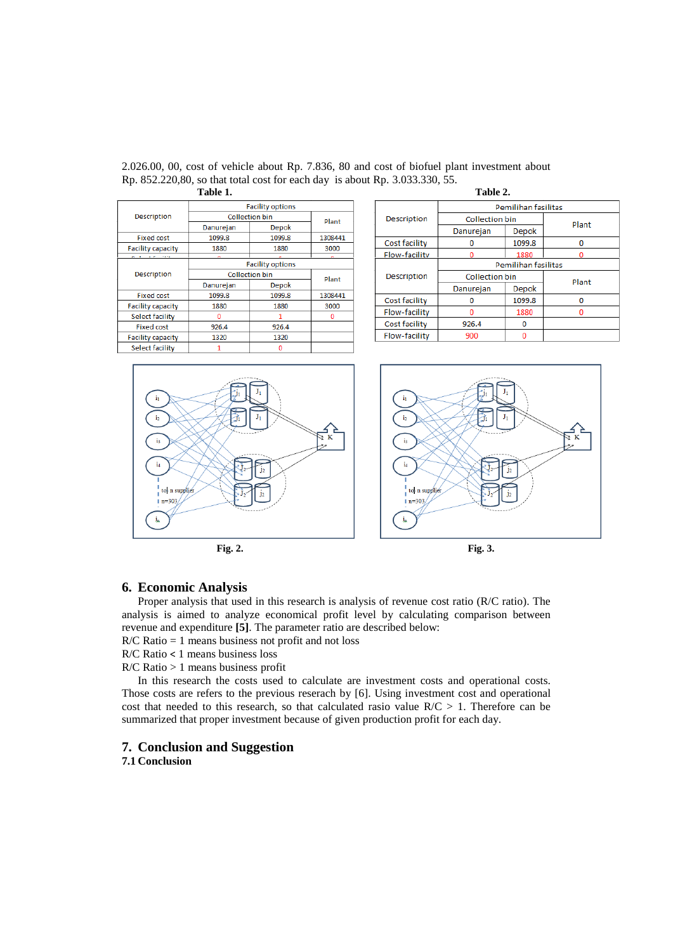|                            | .                       |          |         |                    | 1 U.J.V 21   |  |
|----------------------------|-------------------------|----------|---------|--------------------|--------------|--|
|                            | <b>Facility options</b> |          |         |                    | Pem          |  |
| <b>Description</b>         | <b>Collection bin</b>   |          | Plant   | <b>Description</b> | Collection b |  |
|                            | Danurejan               | Depok    |         |                    | Danurejan    |  |
| <b>Fixed cost</b>          | 1099.8                  | 1099.8   | 1308441 | Cost facility      | Ω            |  |
| <b>Facility capacity</b>   | 1880                    | 1880     | 3000    |                    |              |  |
| <b>Machine Advertisers</b> | $\sim$                  |          | $\sim$  | Flow-facility      | o            |  |
|                            | <b>Facility options</b> |          |         |                    | Pem          |  |
| <b>Description</b>         | <b>Collection bin</b>   |          | Plant   | Description        | Collection b |  |
|                            | Danurejan               | Depok    |         |                    | Danurejan    |  |
| <b>Fixed cost</b>          | 1099.8                  | 1099.8   | 1308441 | Cost facility      |              |  |
| <b>Facility capacity</b>   | 1880                    | 1880     | 3000    |                    | 0            |  |
| Select facility            | $\mathbf{0}$            |          | 0       | Flow-facility      | o            |  |
| <b>Fixed cost</b>          | 926.4                   | 926.4    |         | Cost facility      | 926.4        |  |
| <b>Facility capacity</b>   | 1320                    | 1320     |         | Flow-facility      | 900          |  |
| Select facility            | 1                       | $\Omega$ |         |                    |              |  |

2.026.00, 00, cost of vehicle about Rp. 7.836, 80 and cost of biofuel plant investment about Rp. 852.220,80, so that total cost for each day is about Rp. 3.033.330, 55. **Table 1.** Table 2.

| 1 U.J.V. 20        |                       |              |   |  |  |  |  |  |
|--------------------|-----------------------|--------------|---|--|--|--|--|--|
|                    | Pemilihan fasilitas   |              |   |  |  |  |  |  |
| Description        | <b>Collection bin</b> | Plant        |   |  |  |  |  |  |
|                    | Danurejan             | Depok        |   |  |  |  |  |  |
| Cost facility      |                       | 1099.8       | n |  |  |  |  |  |
| Flow-facility      | n                     | 1880         |   |  |  |  |  |  |
|                    | Pemilihan fasilitas   |              |   |  |  |  |  |  |
| <b>Description</b> | <b>Collection bin</b> | Plant        |   |  |  |  |  |  |
|                    | Danurejan             | <b>Depok</b> |   |  |  |  |  |  |
| Cost facility      |                       | 1099.8       |   |  |  |  |  |  |
| Flow-facility      | n                     | 1880         |   |  |  |  |  |  |
| Cost facility      | 926.4                 | Ω            |   |  |  |  |  |  |
| Flow-facility      | 900                   |              |   |  |  |  |  |  |



# **6. Economic Analysis**

Proper analysis that used in this research is analysis of revenue cost ratio (R/C ratio). The analysis is aimed to analyze economical profit level by calculating comparison between revenue and expenditure **[5]**. The parameter ratio are described below:

R/C Ratio = 1 means business not profit and not loss

R/C Ratio < 1 means business loss

R/C Ratio > 1 means business profit

In this research the costs used to calculate are investment costs and operational costs. Those costs are refers to the previous reserach by [6]. Using investment cost and operational cost that needed to this research, so that calculated rasio value  $R/C > 1$ . Therefore can be summarized that proper investment because of given production profit for each day.

## **7. Conclusion and Suggestion**

**7.1 Conclusion**